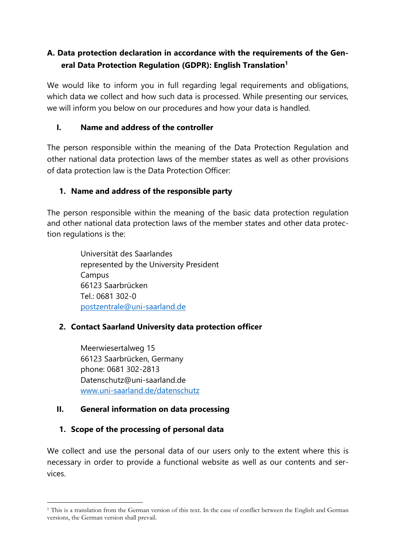# **A. Data protection declaration in accordance with the requirements of the General Data Protection Regulation (GDPR): English Translation<sup>1</sup>**

We would like to inform you in full regarding legal requirements and obligations, which data we collect and how such data is processed. While presenting our services, we will inform you below on our procedures and how your data is handled.

### **I. Name and address of the controller**

The person responsible within the meaning of the Data Protection Regulation and other national data protection laws of the member states as well as other provisions of data protection law is the Data Protection Officer:

#### **1. Name and address of the responsible party**

The person responsible within the meaning of the basic data protection regulation and other national data protection laws of the member states and other data protection regulations is the:

> Universität des Saarlandes represented by the University President Campus 66123 Saarbrücken Tel.: 0681 302-0 [postzentrale@uni-saarland.de](mailto:postzentrale@uni-saarland.de)

### **2. Contact Saarland University data protection officer**

Meerwiesertalweg 15 66123 Saarbrücken, Germany phone: 0681 302-2813 Datenschutz@uni-saarland.de [www.uni-saarland.de/datenschutz](http://www.uni-saarland.de/datenschutz)

#### **II. General information on data processing**

### **1. Scope of the processing of personal data**

We collect and use the personal data of our users only to the extent where this is necessary in order to provide a functional website as well as our contents and services.

<sup>&</sup>lt;sup>1</sup> This is a translation from the German version of this text. In the case of conflict between the English and German versions, the German version shall prevail.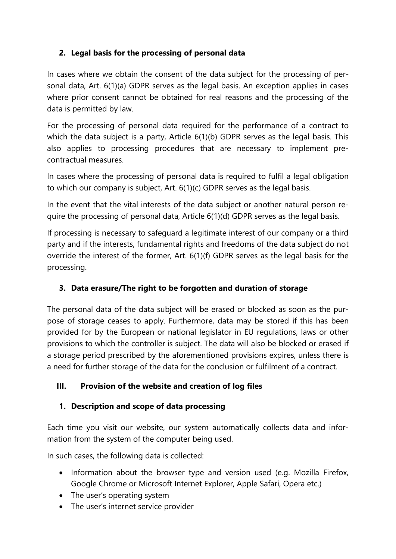# **2. Legal basis for the processing of personal data**

In cases where we obtain the consent of the data subject for the processing of personal data, Art. 6(1)(a) GDPR serves as the legal basis. An exception applies in cases where prior consent cannot be obtained for real reasons and the processing of the data is permitted by law.

For the processing of personal data required for the performance of a contract to which the data subject is a party, Article 6(1)(b) GDPR serves as the legal basis. This also applies to processing procedures that are necessary to implement precontractual measures.

In cases where the processing of personal data is required to fulfil a legal obligation to which our company is subject, Art. 6(1)(c) GDPR serves as the legal basis.

In the event that the vital interests of the data subject or another natural person require the processing of personal data, Article 6(1)(d) GDPR serves as the legal basis.

If processing is necessary to safeguard a legitimate interest of our company or a third party and if the interests, fundamental rights and freedoms of the data subject do not override the interest of the former, Art. 6(1)(f) GDPR serves as the legal basis for the processing.

# **3. Data erasure/The right to be forgotten and duration of storage**

The personal data of the data subject will be erased or blocked as soon as the purpose of storage ceases to apply. Furthermore, data may be stored if this has been provided for by the European or national legislator in EU regulations, laws or other provisions to which the controller is subject. The data will also be blocked or erased if a storage period prescribed by the aforementioned provisions expires, unless there is a need for further storage of the data for the conclusion or fulfilment of a contract.

### **III. Provision of the website and creation of log files**

# **1. Description and scope of data processing**

Each time you visit our website, our system automatically collects data and information from the system of the computer being used.

In such cases, the following data is collected:

- Information about the browser type and version used (e.g. Mozilla Firefox, Google Chrome or Microsoft Internet Explorer, Apple Safari, Opera etc.)
- The user's operating system
- The user's internet service provider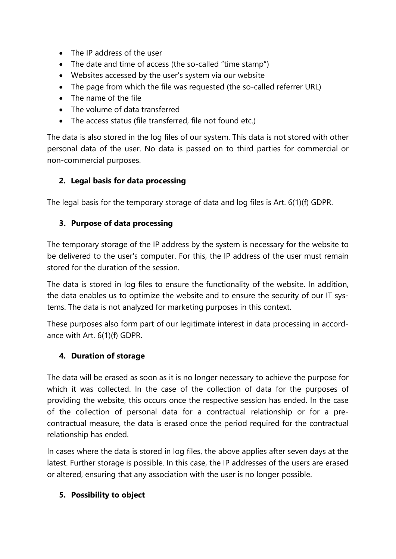- The IP address of the user
- The date and time of access (the so-called "time stamp")
- Websites accessed by the user's system via our website
- The page from which the file was requested (the so-called referrer URL)
- The name of the file
- The volume of data transferred
- The access status (file transferred, file not found etc.)

The data is also stored in the log files of our system. This data is not stored with other personal data of the user. No data is passed on to third parties for commercial or non-commercial purposes.

### **2. Legal basis for data processing**

The legal basis for the temporary storage of data and log files is Art. 6(1)(f) GDPR.

### **3. Purpose of data processing**

The temporary storage of the IP address by the system is necessary for the website to be delivered to the user's computer. For this, the IP address of the user must remain stored for the duration of the session.

The data is stored in log files to ensure the functionality of the website. In addition, the data enables us to optimize the website and to ensure the security of our IT systems. The data is not analyzed for marketing purposes in this context.

These purposes also form part of our legitimate interest in data processing in accordance with Art. 6(1)(f) GDPR.

### **4. Duration of storage**

The data will be erased as soon as it is no longer necessary to achieve the purpose for which it was collected. In the case of the collection of data for the purposes of providing the website, this occurs once the respective session has ended. In the case of the collection of personal data for a contractual relationship or for a precontractual measure, the data is erased once the period required for the contractual relationship has ended.

In cases where the data is stored in log files, the above applies after seven days at the latest. Further storage is possible. In this case, the IP addresses of the users are erased or altered, ensuring that any association with the user is no longer possible.

### **5. Possibility to object**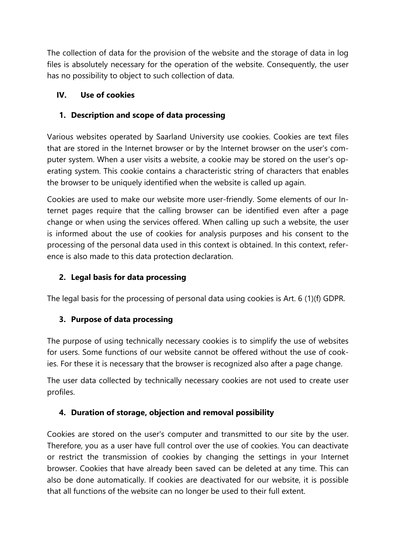The collection of data for the provision of the website and the storage of data in log files is absolutely necessary for the operation of the website. Consequently, the user has no possibility to object to such collection of data.

# **IV. Use of cookies**

# **1. Description and scope of data processing**

Various websites operated by Saarland University use cookies. Cookies are text files that are stored in the Internet browser or by the Internet browser on the user's computer system. When a user visits a website, a cookie may be stored on the user's operating system. This cookie contains a characteristic string of characters that enables the browser to be uniquely identified when the website is called up again.

Cookies are used to make our website more user-friendly. Some elements of our Internet pages require that the calling browser can be identified even after a page change or when using the services offered. When calling up such a website, the user is informed about the use of cookies for analysis purposes and his consent to the processing of the personal data used in this context is obtained. In this context, reference is also made to this data protection declaration.

# **2. Legal basis for data processing**

The legal basis for the processing of personal data using cookies is Art. 6 (1)(f) GDPR.

# **3. Purpose of data processing**

The purpose of using technically necessary cookies is to simplify the use of websites for users. Some functions of our website cannot be offered without the use of cookies. For these it is necessary that the browser is recognized also after a page change.

The user data collected by technically necessary cookies are not used to create user profiles.

# **4. Duration of storage, objection and removal possibility**

Cookies are stored on the user's computer and transmitted to our site by the user. Therefore, you as a user have full control over the use of cookies. You can deactivate or restrict the transmission of cookies by changing the settings in your Internet browser. Cookies that have already been saved can be deleted at any time. This can also be done automatically. If cookies are deactivated for our website, it is possible that all functions of the website can no longer be used to their full extent.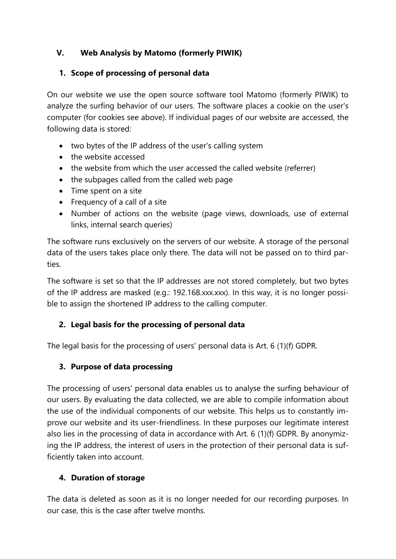### **V. Web Analysis by Matomo (formerly PIWIK)**

# **1. Scope of processing of personal data**

On our website we use the open source software tool Matomo (formerly PIWIK) to analyze the surfing behavior of our users. The software places a cookie on the user's computer (for cookies see above). If individual pages of our website are accessed, the following data is stored:

- two bytes of the IP address of the user's calling system
- the website accessed
- the website from which the user accessed the called website (referrer)
- the subpages called from the called web page
- Time spent on a site
- Frequency of a call of a site
- Number of actions on the website (page views, downloads, use of external links, internal search queries)

The software runs exclusively on the servers of our website. A storage of the personal data of the users takes place only there. The data will not be passed on to third parties.

The software is set so that the IP addresses are not stored completely, but two bytes of the IP address are masked (e.g.: 192.168.xxx.xxx). In this way, it is no longer possible to assign the shortened IP address to the calling computer.

# **2. Legal basis for the processing of personal data**

The legal basis for the processing of users' personal data is Art. 6 (1)(f) GDPR.

# **3. Purpose of data processing**

The processing of users' personal data enables us to analyse the surfing behaviour of our users. By evaluating the data collected, we are able to compile information about the use of the individual components of our website. This helps us to constantly improve our website and its user-friendliness. In these purposes our legitimate interest also lies in the processing of data in accordance with Art. 6 (1)(f) GDPR. By anonymizing the IP address, the interest of users in the protection of their personal data is sufficiently taken into account.

# **4. Duration of storage**

The data is deleted as soon as it is no longer needed for our recording purposes. In our case, this is the case after twelve months.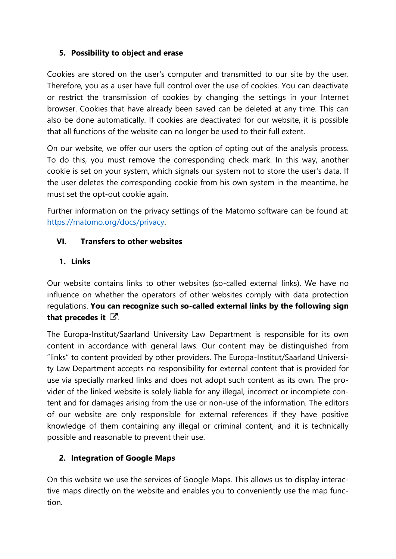#### **5. Possibility to object and erase**

Cookies are stored on the user's computer and transmitted to our site by the user. Therefore, you as a user have full control over the use of cookies. You can deactivate or restrict the transmission of cookies by changing the settings in your Internet browser. Cookies that have already been saved can be deleted at any time. This can also be done automatically. If cookies are deactivated for our website, it is possible that all functions of the website can no longer be used to their full extent.

On our website, we offer our users the option of opting out of the analysis process. To do this, you must remove the corresponding check mark. In this way, another cookie is set on your system, which signals our system not to store the user's data. If the user deletes the corresponding cookie from his own system in the meantime, he must set the opt-out cookie again.

Further information on the privacy settings of the Matomo software can be found at: [https://matomo.org/docs/privacy.](https://matomo.org/docs/privacy)

#### **VI. Transfers to other websites**

#### **1. Links**

Our website contains links to other websites (so-called external links). We have no influence on whether the operators of other websites comply with data protection regulations. **You can recognize such so-called external links by the following sign**  that precedes it  $\mathbb{Z}$ .

The Europa-Institut/Saarland University Law Department is responsible for its own content in accordance with general laws. Our content may be distinguished from "links" to content provided by other providers. The Europa-Institut/Saarland University Law Department accepts no responsibility for external content that is provided for use via specially marked links and does not adopt such content as its own. The provider of the linked website is solely liable for any illegal, incorrect or incomplete content and for damages arising from the use or non-use of the information. The editors of our website are only responsible for external references if they have positive knowledge of them containing any illegal or criminal content, and it is technically possible and reasonable to prevent their use.

### **2. Integration of Google Maps**

On this website we use the services of Google Maps. This allows us to display interactive maps directly on the website and enables you to conveniently use the map function.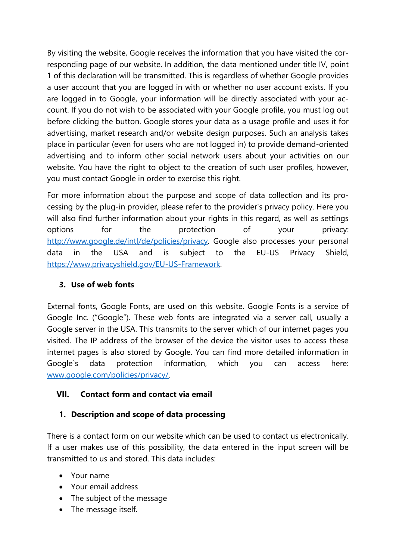By visiting the website, Google receives the information that you have visited the corresponding page of our website. In addition, the data mentioned under title IV, point 1 of this declaration will be transmitted. This is regardless of whether Google provides a user account that you are logged in with or whether no user account exists. If you are logged in to Google, your information will be directly associated with your account. If you do not wish to be associated with your Google profile, you must log out before clicking the button. Google stores your data as a usage profile and uses it for advertising, market research and/or website design purposes. Such an analysis takes place in particular (even for users who are not logged in) to provide demand-oriented advertising and to inform other social network users about your activities on our website. You have the right to object to the creation of such user profiles, however, you must contact Google in order to exercise this right.

For more information about the purpose and scope of data collection and its processing by the plug-in provider, please refer to the provider's privacy policy. Here you will also find further information about your rights in this regard, as well as settings options for the protection of your privacy: [http://www.google.de/intl/de/policies/privacy.](http://www.google.de/intl/de/policies/privacy) Google also processes your personal data in the USA and is subject to the EU-US Privacy Shield, [https://www.privacyshield.gov/EU-US-Framework.](https://www.privacyshield.gov/EU-US-Framework)

### **3. Use of web fonts**

External fonts, Google Fonts, are used on this website. Google Fonts is a service of Google Inc. ("Google"). These web fonts are integrated via a server call, usually a Google server in the USA. This transmits to the server which of our internet pages you visited. The IP address of the browser of the device the visitor uses to access these internet pages is also stored by Google. You can find more detailed information in Google`s data protection information, which you can access here: [www.google.com/policies/privacy/.](http://www.google.com/policies/privacy/)

### **VII. Contact form and contact via email**

### **1. Description and scope of data processing**

There is a contact form on our website which can be used to contact us electronically. If a user makes use of this possibility, the data entered in the input screen will be transmitted to us and stored. This data includes:

- Your name
- Your email address
- The subject of the message
- The message itself.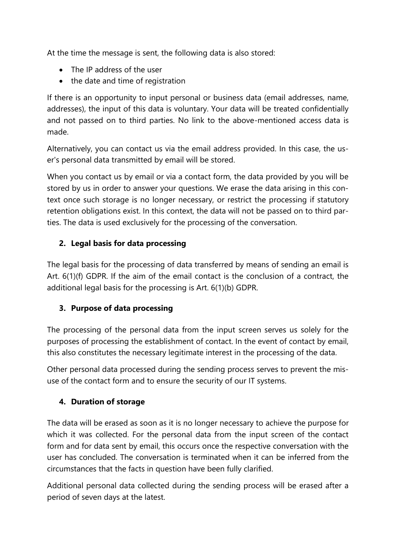At the time the message is sent, the following data is also stored:

- The IP address of the user
- the date and time of registration

If there is an opportunity to input personal or business data (email addresses, name, addresses), the input of this data is voluntary. Your data will be treated confidentially and not passed on to third parties. No link to the above-mentioned access data is made.

Alternatively, you can contact us via the email address provided. In this case, the user's personal data transmitted by email will be stored.

When you contact us by email or via a contact form, the data provided by you will be stored by us in order to answer your questions. We erase the data arising in this context once such storage is no longer necessary, or restrict the processing if statutory retention obligations exist. In this context, the data will not be passed on to third parties. The data is used exclusively for the processing of the conversation.

# **2. Legal basis for data processing**

The legal basis for the processing of data transferred by means of sending an email is Art. 6(1)(f) GDPR. If the aim of the email contact is the conclusion of a contract, the additional legal basis for the processing is Art. 6(1)(b) GDPR.

# **3. Purpose of data processing**

The processing of the personal data from the input screen serves us solely for the purposes of processing the establishment of contact. In the event of contact by email, this also constitutes the necessary legitimate interest in the processing of the data.

Other personal data processed during the sending process serves to prevent the misuse of the contact form and to ensure the security of our IT systems.

# **4. Duration of storage**

The data will be erased as soon as it is no longer necessary to achieve the purpose for which it was collected. For the personal data from the input screen of the contact form and for data sent by email, this occurs once the respective conversation with the user has concluded. The conversation is terminated when it can be inferred from the circumstances that the facts in question have been fully clarified.

Additional personal data collected during the sending process will be erased after a period of seven days at the latest.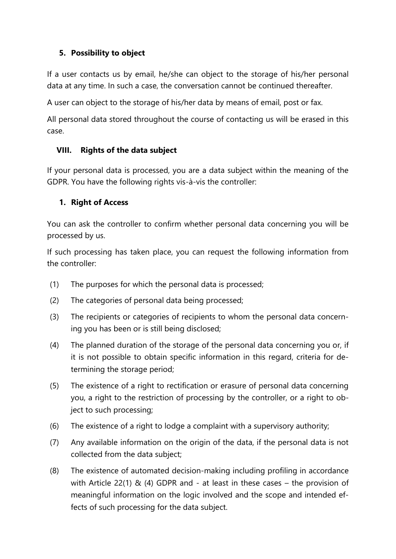### **5. Possibility to object**

If a user contacts us by email, he/she can object to the storage of his/her personal data at any time. In such a case, the conversation cannot be continued thereafter.

A user can object to the storage of his/her data by means of email, post or fax.

All personal data stored throughout the course of contacting us will be erased in this case.

### **VIII. Rights of the data subject**

If your personal data is processed, you are a data subject within the meaning of the GDPR. You have the following rights vis-à-vis the controller:

#### **1. Right of Access**

You can ask the controller to confirm whether personal data concerning you will be processed by us.

If such processing has taken place, you can request the following information from the controller:

- (1) The purposes for which the personal data is processed;
- (2) The categories of personal data being processed;
- (3) The recipients or categories of recipients to whom the personal data concerning you has been or is still being disclosed;
- (4) The planned duration of the storage of the personal data concerning you or, if it is not possible to obtain specific information in this regard, criteria for determining the storage period;
- (5) The existence of a right to rectification or erasure of personal data concerning you, a right to the restriction of processing by the controller, or a right to object to such processing;
- (6) The existence of a right to lodge a complaint with a supervisory authority;
- (7) Any available information on the origin of the data, if the personal data is not collected from the data subject;
- (8) The existence of automated decision-making including profiling in accordance with Article 22(1)  $\&$  (4) GDPR and - at least in these cases – the provision of meaningful information on the logic involved and the scope and intended effects of such processing for the data subject.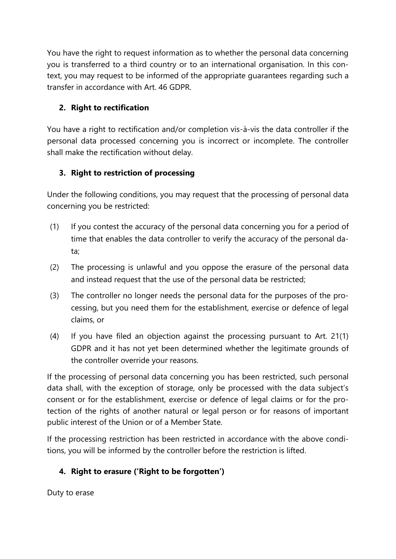You have the right to request information as to whether the personal data concerning you is transferred to a third country or to an international organisation. In this context, you may request to be informed of the appropriate guarantees regarding such a transfer in accordance with Art. 46 GDPR.

# **2. Right to rectification**

You have a right to rectification and/or completion vis-à-vis the data controller if the personal data processed concerning you is incorrect or incomplete. The controller shall make the rectification without delay.

# **3. Right to restriction of processing**

Under the following conditions, you may request that the processing of personal data concerning you be restricted:

- (1) If you contest the accuracy of the personal data concerning you for a period of time that enables the data controller to verify the accuracy of the personal data;
- (2) The processing is unlawful and you oppose the erasure of the personal data and instead request that the use of the personal data be restricted;
- (3) The controller no longer needs the personal data for the purposes of the processing, but you need them for the establishment, exercise or defence of legal claims, or
- (4) If you have filed an objection against the processing pursuant to Art. 21(1) GDPR and it has not yet been determined whether the legitimate grounds of the controller override your reasons.

If the processing of personal data concerning you has been restricted, such personal data shall, with the exception of storage, only be processed with the data subject's consent or for the establishment, exercise or defence of legal claims or for the protection of the rights of another natural or legal person or for reasons of important public interest of the Union or of a Member State.

If the processing restriction has been restricted in accordance with the above conditions, you will be informed by the controller before the restriction is lifted.

# **4. Right to erasure ('Right to be forgotten')**

Duty to erase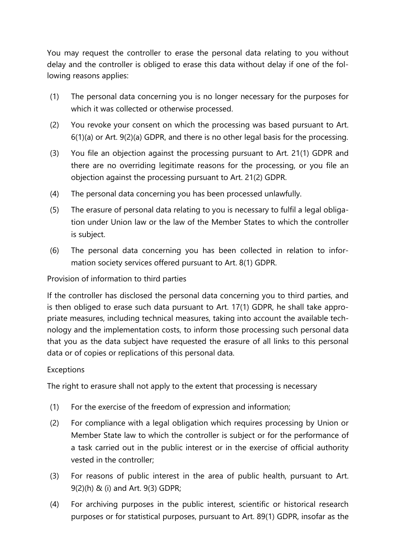You may request the controller to erase the personal data relating to you without delay and the controller is obliged to erase this data without delay if one of the following reasons applies:

- (1) The personal data concerning you is no longer necessary for the purposes for which it was collected or otherwise processed.
- (2) You revoke your consent on which the processing was based pursuant to Art. 6(1)(a) or Art. 9(2)(a) GDPR, and there is no other legal basis for the processing.
- (3) You file an objection against the processing pursuant to Art. 21(1) GDPR and there are no overriding legitimate reasons for the processing, or you file an objection against the processing pursuant to Art. 21(2) GDPR.
- (4) The personal data concerning you has been processed unlawfully.
- (5) The erasure of personal data relating to you is necessary to fulfil a legal obligation under Union law or the law of the Member States to which the controller is subject.
- (6) The personal data concerning you has been collected in relation to information society services offered pursuant to Art. 8(1) GDPR.

Provision of information to third parties

If the controller has disclosed the personal data concerning you to third parties, and is then obliged to erase such data pursuant to Art. 17(1) GDPR, he shall take appropriate measures, including technical measures, taking into account the available technology and the implementation costs, to inform those processing such personal data that you as the data subject have requested the erasure of all links to this personal data or of copies or replications of this personal data.

### Exceptions

The right to erasure shall not apply to the extent that processing is necessary

- (1) For the exercise of the freedom of expression and information;
- (2) For compliance with a legal obligation which requires processing by Union or Member State law to which the controller is subject or for the performance of a task carried out in the public interest or in the exercise of official authority vested in the controller;
- (3) For reasons of public interest in the area of public health, pursuant to Art. 9(2)(h) & (i) and Art. 9(3) GDPR;
- (4) For archiving purposes in the public interest, scientific or historical research purposes or for statistical purposes, pursuant to Art. 89(1) GDPR, insofar as the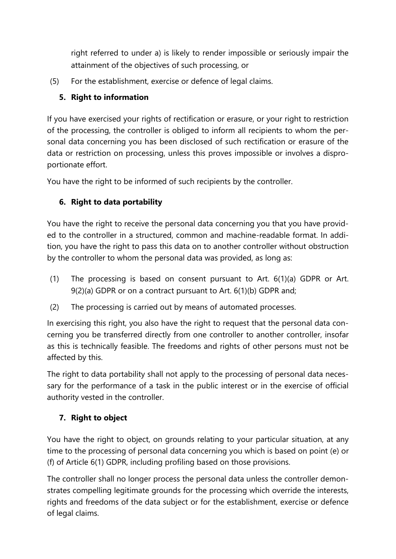right referred to under a) is likely to render impossible or seriously impair the attainment of the objectives of such processing, or

(5) For the establishment, exercise or defence of legal claims.

# **5. Right to information**

If you have exercised your rights of rectification or erasure, or your right to restriction of the processing, the controller is obliged to inform all recipients to whom the personal data concerning you has been disclosed of such rectification or erasure of the data or restriction on processing, unless this proves impossible or involves a disproportionate effort.

You have the right to be informed of such recipients by the controller.

# **6. Right to data portability**

You have the right to receive the personal data concerning you that you have provided to the controller in a structured, common and machine-readable format. In addition, you have the right to pass this data on to another controller without obstruction by the controller to whom the personal data was provided, as long as:

- (1) The processing is based on consent pursuant to Art. 6(1)(a) GDPR or Art. 9(2)(a) GDPR or on a contract pursuant to Art. 6(1)(b) GDPR and;
- (2) The processing is carried out by means of automated processes.

In exercising this right, you also have the right to request that the personal data concerning you be transferred directly from one controller to another controller, insofar as this is technically feasible. The freedoms and rights of other persons must not be affected by this.

The right to data portability shall not apply to the processing of personal data necessary for the performance of a task in the public interest or in the exercise of official authority vested in the controller.

# **7. Right to object**

You have the right to object, on grounds relating to your particular situation, at any time to the processing of personal data concerning you which is based on point (e) or (f) of Article 6(1) GDPR, including profiling based on those provisions.

The controller shall no longer process the personal data unless the controller demonstrates compelling legitimate grounds for the processing which override the interests, rights and freedoms of the data subject or for the establishment, exercise or defence of legal claims.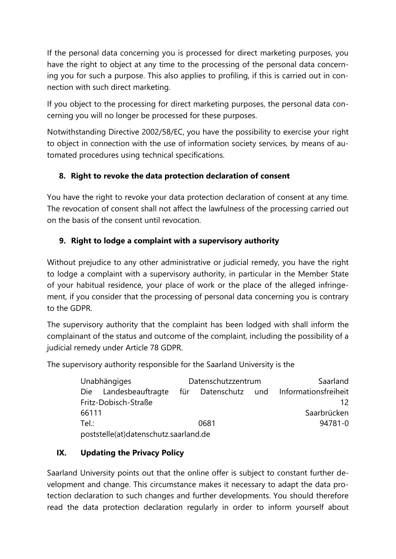If the personal data concerning you is processed for direct marketing purposes, you have the right to object at any time to the processing of the personal data concerning you for such a purpose. This also applies to profiling, if this is carried out in connection with such direct marketing.

If you object to the processing for direct marketing purposes, the personal data concerning you will no longer be processed for these purposes.

Notwithstanding Directive 2002/58/EC, you have the possibility to exercise your right to object in connection with the use of information society services, by means of automated procedures using technical specifications.

# **8. Right to revoke the data protection declaration of consent**

You have the right to revoke your data protection declaration of consent at any time. The revocation of consent shall not affect the lawfulness of the processing carried out on the basis of the consent until revocation.

# **9. Right to lodge a complaint with a supervisory authority**

Without prejudice to any other administrative or judicial remedy, you have the right to lodge a complaint with a supervisory authority, in particular in the Member State of your habitual residence, your place of work or the place of the alleged infringement, if you consider that the processing of personal data concerning you is contrary to the GDPR.

The supervisory authority that the complaint has been lodged with shall inform the complainant of the status and outcome of the complaint, including the possibility of a judicial remedy under Article 78 GDPR.

The supervisory authority responsible for the Saarland University is the

| <b>Unabhängiges</b>                   | Datenschutzzentrum |  | Saarland                                 |
|---------------------------------------|--------------------|--|------------------------------------------|
| Die Landesbeauftragte                 |                    |  | für Datenschutz und Informationsfreiheit |
| Fritz-Dobisch-Straße                  |                    |  | 12.                                      |
| 66111                                 |                    |  | Saarbrücken                              |
| Tel:                                  | 0681               |  | 94781-0                                  |
| poststelle(at)datenschutz.saarland.de |                    |  |                                          |

# **IX. Updating the Privacy Policy**

Saarland University points out that the online offer is subject to constant further development and change. This circumstance makes it necessary to adapt the data protection declaration to such changes and further developments. You should therefore read the data protection declaration regularly in order to inform yourself about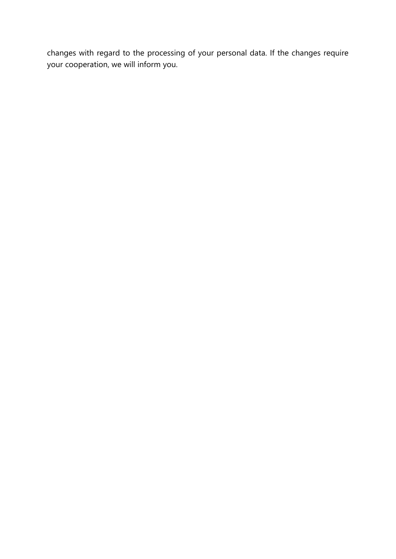changes with regard to the processing of your personal data. If the changes require your cooperation, we will inform you.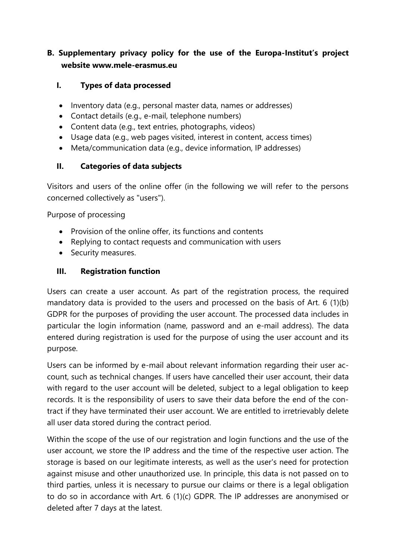# **B. Supplementary privacy policy for the use of the Europa-Institut's project website www.mele-erasmus.eu**

#### **I. Types of data processed**

- Inventory data (e.g., personal master data, names or addresses)
- Contact details (e.g., e-mail, telephone numbers)
- Content data (e.g., text entries, photographs, videos)
- Usage data (e.g., web pages visited, interest in content, access times)
- Meta/communication data (e.g., device information, IP addresses)

#### **II. Categories of data subjects**

Visitors and users of the online offer (in the following we will refer to the persons concerned collectively as "users").

Purpose of processing

- Provision of the online offer, its functions and contents
- Replying to contact requests and communication with users
- Security measures.

#### **III. Registration function**

Users can create a user account. As part of the registration process, the required mandatory data is provided to the users and processed on the basis of Art. 6 (1)(b) GDPR for the purposes of providing the user account. The processed data includes in particular the login information (name, password and an e-mail address). The data entered during registration is used for the purpose of using the user account and its purpose.

Users can be informed by e-mail about relevant information regarding their user account, such as technical changes. If users have cancelled their user account, their data with regard to the user account will be deleted, subject to a legal obligation to keep records. It is the responsibility of users to save their data before the end of the contract if they have terminated their user account. We are entitled to irretrievably delete all user data stored during the contract period.

Within the scope of the use of our registration and login functions and the use of the user account, we store the IP address and the time of the respective user action. The storage is based on our legitimate interests, as well as the user's need for protection against misuse and other unauthorized use. In principle, this data is not passed on to third parties, unless it is necessary to pursue our claims or there is a legal obligation to do so in accordance with Art. 6 (1)(c) GDPR. The IP addresses are anonymised or deleted after 7 days at the latest.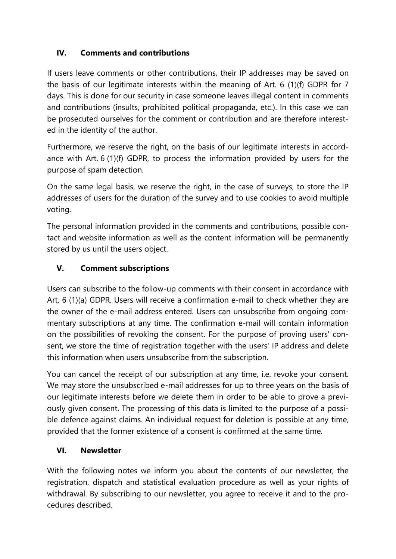### **IV. Comments and contributions**

If users leave comments or other contributions, their IP addresses may be saved on the basis of our legitimate interests within the meaning of Art. 6 (1)(f) GDPR for 7 days. This is done for our security in case someone leaves illegal content in comments and contributions (insults, prohibited political propaganda, etc.). In this case we can be prosecuted ourselves for the comment or contribution and are therefore interested in the identity of the author.

Furthermore, we reserve the right, on the basis of our legitimate interests in accordance with Art. 6 (1)(f) GDPR, to process the information provided by users for the purpose of spam detection.

On the same legal basis, we reserve the right, in the case of surveys, to store the IP addresses of users for the duration of the survey and to use cookies to avoid multiple voting.

The personal information provided in the comments and contributions, possible contact and website information as well as the content information will be permanently stored by us until the users object.

# **V. Comment subscriptions**

Users can subscribe to the follow-up comments with their consent in accordance with Art. 6 (1)(a) GDPR. Users will receive a confirmation e-mail to check whether they are the owner of the e-mail address entered. Users can unsubscribe from ongoing commentary subscriptions at any time. The confirmation e-mail will contain information on the possibilities of revoking the consent. For the purpose of proving users' consent, we store the time of registration together with the users' IP address and delete this information when users unsubscribe from the subscription.

You can cancel the receipt of our subscription at any time, i.e. revoke your consent. We may store the unsubscribed e-mail addresses for up to three years on the basis of our legitimate interests before we delete them in order to be able to prove a previously given consent. The processing of this data is limited to the purpose of a possible defence against claims. An individual request for deletion is possible at any time, provided that the former existence of a consent is confirmed at the same time.

### **VI. Newsletter**

With the following notes we inform you about the contents of our newsletter, the registration, dispatch and statistical evaluation procedure as well as your rights of withdrawal. By subscribing to our newsletter, you agree to receive it and to the procedures described.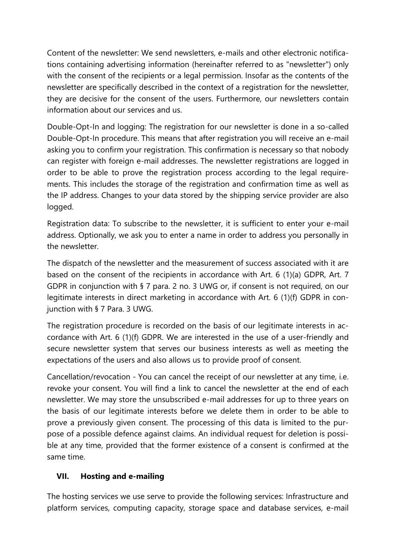Content of the newsletter: We send newsletters, e-mails and other electronic notifications containing advertising information (hereinafter referred to as "newsletter") only with the consent of the recipients or a legal permission. Insofar as the contents of the newsletter are specifically described in the context of a registration for the newsletter, they are decisive for the consent of the users. Furthermore, our newsletters contain information about our services and us.

Double-Opt-In and logging: The registration for our newsletter is done in a so-called Double-Opt-In procedure. This means that after registration you will receive an e-mail asking you to confirm your registration. This confirmation is necessary so that nobody can register with foreign e-mail addresses. The newsletter registrations are logged in order to be able to prove the registration process according to the legal requirements. This includes the storage of the registration and confirmation time as well as the IP address. Changes to your data stored by the shipping service provider are also logged.

Registration data: To subscribe to the newsletter, it is sufficient to enter your e-mail address. Optionally, we ask you to enter a name in order to address you personally in the newsletter.

The dispatch of the newsletter and the measurement of success associated with it are based on the consent of the recipients in accordance with Art. 6 (1)(a) GDPR, Art. 7 GDPR in conjunction with § 7 para. 2 no. 3 UWG or, if consent is not required, on our legitimate interests in direct marketing in accordance with Art. 6 (1)(f) GDPR in conjunction with § 7 Para, 3 UWG.

The registration procedure is recorded on the basis of our legitimate interests in accordance with Art. 6 (1)(f) GDPR. We are interested in the use of a user-friendly and secure newsletter system that serves our business interests as well as meeting the expectations of the users and also allows us to provide proof of consent.

Cancellation/revocation - You can cancel the receipt of our newsletter at any time, i.e. revoke your consent. You will find a link to cancel the newsletter at the end of each newsletter. We may store the unsubscribed e-mail addresses for up to three years on the basis of our legitimate interests before we delete them in order to be able to prove a previously given consent. The processing of this data is limited to the purpose of a possible defence against claims. An individual request for deletion is possible at any time, provided that the former existence of a consent is confirmed at the same time.

### **VII. Hosting and e-mailing**

The hosting services we use serve to provide the following services: Infrastructure and platform services, computing capacity, storage space and database services, e-mail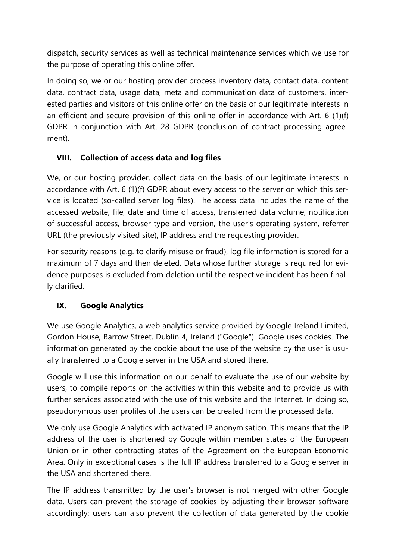dispatch, security services as well as technical maintenance services which we use for the purpose of operating this online offer.

In doing so, we or our hosting provider process inventory data, contact data, content data, contract data, usage data, meta and communication data of customers, interested parties and visitors of this online offer on the basis of our legitimate interests in an efficient and secure provision of this online offer in accordance with Art. 6 (1)(f) GDPR in conjunction with Art. 28 GDPR (conclusion of contract processing agreement).

### **VIII. Collection of access data and log files**

We, or our hosting provider, collect data on the basis of our legitimate interests in accordance with Art. 6 (1)(f) GDPR about every access to the server on which this service is located (so-called server log files). The access data includes the name of the accessed website, file, date and time of access, transferred data volume, notification of successful access, browser type and version, the user's operating system, referrer URL (the previously visited site), IP address and the requesting provider.

For security reasons (e.g. to clarify misuse or fraud), log file information is stored for a maximum of 7 days and then deleted. Data whose further storage is required for evidence purposes is excluded from deletion until the respective incident has been finally clarified.

# **IX. Google Analytics**

We use Google Analytics, a web analytics service provided by Google Ireland Limited, Gordon House, Barrow Street, Dublin 4, Ireland ("Google"). Google uses cookies. The information generated by the cookie about the use of the website by the user is usually transferred to a Google server in the USA and stored there.

Google will use this information on our behalf to evaluate the use of our website by users, to compile reports on the activities within this website and to provide us with further services associated with the use of this website and the Internet. In doing so, pseudonymous user profiles of the users can be created from the processed data.

We only use Google Analytics with activated IP anonymisation. This means that the IP address of the user is shortened by Google within member states of the European Union or in other contracting states of the Agreement on the European Economic Area. Only in exceptional cases is the full IP address transferred to a Google server in the USA and shortened there.

The IP address transmitted by the user's browser is not merged with other Google data. Users can prevent the storage of cookies by adjusting their browser software accordingly; users can also prevent the collection of data generated by the cookie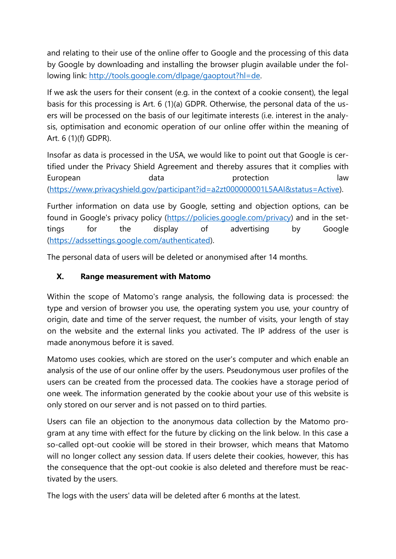and relating to their use of the online offer to Google and the processing of this data by Google by downloading and installing the browser plugin available under the following link: [http://tools.google.com/dlpage/gaoptout?hl=de.](http://tools.google.com/dlpage/gaoptout?hl=de)

If we ask the users for their consent (e.g. in the context of a cookie consent), the legal basis for this processing is Art. 6 (1)(a) GDPR. Otherwise, the personal data of the users will be processed on the basis of our legitimate interests (i.e. interest in the analysis, optimisation and economic operation of our online offer within the meaning of Art. 6 (1)(f) GDPR).

Insofar as data is processed in the USA, we would like to point out that Google is certified under the Privacy Shield Agreement and thereby assures that it complies with European data data protection law [\(https://www.privacyshield.gov/participant?id=a2zt000000001L5AAI&status=Active\)](https://www.privacyshield.gov/participant?id=a2zt000000001L5AAI&status=Active).

Further information on data use by Google, setting and objection options, can be found in Google's privacy policy [\(https://policies.google.com/privacy\)](https://policies.google.com/privacy) and in the settings for the display of advertising by Google [\(https://adssettings.google.com/authenticated\)](https://adssettings.google.com/authenticated).

The personal data of users will be deleted or anonymised after 14 months.

# **X. Range measurement with Matomo**

Within the scope of Matomo's range analysis, the following data is processed: the type and version of browser you use, the operating system you use, your country of origin, date and time of the server request, the number of visits, your length of stay on the website and the external links you activated. The IP address of the user is made anonymous before it is saved.

Matomo uses cookies, which are stored on the user's computer and which enable an analysis of the use of our online offer by the users. Pseudonymous user profiles of the users can be created from the processed data. The cookies have a storage period of one week. The information generated by the cookie about your use of this website is only stored on our server and is not passed on to third parties.

Users can file an objection to the anonymous data collection by the Matomo program at any time with effect for the future by clicking on the link below. In this case a so-called opt-out cookie will be stored in their browser, which means that Matomo will no longer collect any session data. If users delete their cookies, however, this has the consequence that the opt-out cookie is also deleted and therefore must be reactivated by the users.

The logs with the users' data will be deleted after 6 months at the latest.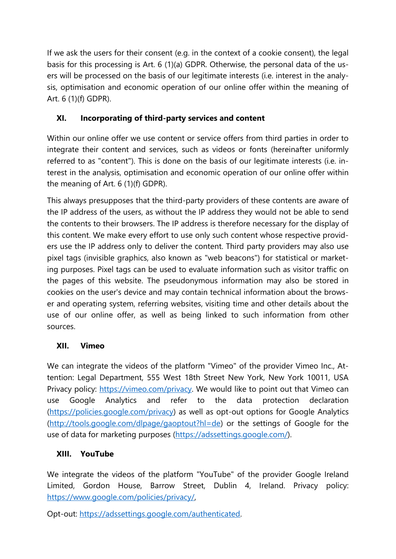If we ask the users for their consent (e.g. in the context of a cookie consent), the legal basis for this processing is Art. 6 (1)(a) GDPR. Otherwise, the personal data of the users will be processed on the basis of our legitimate interests (i.e. interest in the analysis, optimisation and economic operation of our online offer within the meaning of Art. 6 (1)(f) GDPR).

# **XI. Incorporating of third-party services and content**

Within our online offer we use content or service offers from third parties in order to integrate their content and services, such as videos or fonts (hereinafter uniformly referred to as "content"). This is done on the basis of our legitimate interests (i.e. interest in the analysis, optimisation and economic operation of our online offer within the meaning of Art. 6 (1)(f) GDPR).

This always presupposes that the third-party providers of these contents are aware of the IP address of the users, as without the IP address they would not be able to send the contents to their browsers. The IP address is therefore necessary for the display of this content. We make every effort to use only such content whose respective providers use the IP address only to deliver the content. Third party providers may also use pixel tags (invisible graphics, also known as "web beacons") for statistical or marketing purposes. Pixel tags can be used to evaluate information such as visitor traffic on the pages of this website. The pseudonymous information may also be stored in cookies on the user's device and may contain technical information about the browser and operating system, referring websites, visiting time and other details about the use of our online offer, as well as being linked to such information from other sources.

# **XII. Vimeo**

We can integrate the videos of the platform "Vimeo" of the provider Vimeo Inc., Attention: Legal Department, 555 West 18th Street New York, New York 10011, USA Privacy policy: [https://vimeo.com/privacy.](https://vimeo.com/privacy) We would like to point out that Vimeo can use Google Analytics and refer to the data protection declaration [\(https://policies.google.com/privacy\)](https://policies.google.com/privacy) as well as opt-out options for Google Analytics [\(http://tools.google.com/dlpage/gaoptout?hl=de\)](http://tools.google.com/dlpage/gaoptout?hl=de) or the settings of Google for the use of data for marketing purposes [\(https://adssettings.google.com/\)](https://adssettings.google.com/).

# **XIII. YouTube**

We integrate the videos of the platform "YouTube" of the provider Google Ireland Limited, Gordon House, Barrow Street, Dublin 4, Ireland. Privacy policy: [https://www.google.com/policies/privacy/,](https://www.google.com/policies/privacy/)

Opt-out: [https://adssettings.google.com/authenticated.](https://adssettings.google.com/authenticated)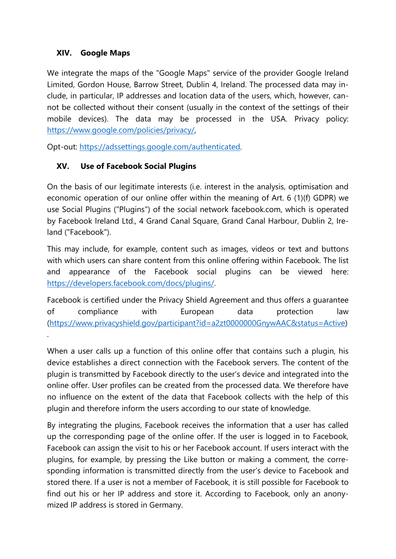#### **XIV. Google Maps**

.

We integrate the maps of the "Google Maps" service of the provider Google Ireland Limited, Gordon House, Barrow Street, Dublin 4, Ireland. The processed data may include, in particular, IP addresses and location data of the users, which, however, cannot be collected without their consent (usually in the context of the settings of their mobile devices). The data may be processed in the USA. Privacy policy: [https://www.google.com/policies/privacy/,](https://www.google.com/policies/privacy/)

Opt-out: [https://adssettings.google.com/authenticated.](https://adssettings.google.com/authenticated)

### **XV. Use of Facebook Social Plugins**

On the basis of our legitimate interests (i.e. interest in the analysis, optimisation and economic operation of our online offer within the meaning of Art. 6 (1)(f) GDPR) we use Social Plugins ("Plugins") of the social network facebook.com, which is operated by Facebook Ireland Ltd., 4 Grand Canal Square, Grand Canal Harbour, Dublin 2, Ireland ("Facebook").

This may include, for example, content such as images, videos or text and buttons with which users can share content from this online offering within Facebook. The list and appearance of the Facebook social plugins can be viewed here: [https://developers.facebook.com/docs/plugins/.](https://developers.facebook.com/docs/plugins/)

Facebook is certified under the Privacy Shield Agreement and thus offers a guarantee of compliance with European data protection law [\(https://www.privacyshield.gov/participant?id=a2zt0000000GnywAAC&status=Active\)](https://www.privacyshield.gov/participant?id=a2zt0000000GnywAAC&status=Active)

When a user calls up a function of this online offer that contains such a plugin, his device establishes a direct connection with the Facebook servers. The content of the plugin is transmitted by Facebook directly to the user's device and integrated into the online offer. User profiles can be created from the processed data. We therefore have no influence on the extent of the data that Facebook collects with the help of this plugin and therefore inform the users according to our state of knowledge.

By integrating the plugins, Facebook receives the information that a user has called up the corresponding page of the online offer. If the user is logged in to Facebook, Facebook can assign the visit to his or her Facebook account. If users interact with the plugins, for example, by pressing the Like button or making a comment, the corresponding information is transmitted directly from the user's device to Facebook and stored there. If a user is not a member of Facebook, it is still possible for Facebook to find out his or her IP address and store it. According to Facebook, only an anonymized IP address is stored in Germany.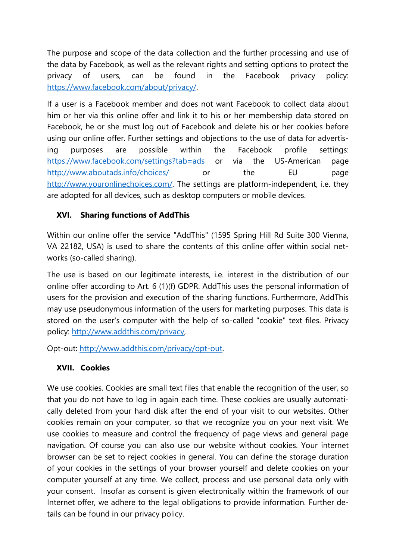The purpose and scope of the data collection and the further processing and use of the data by Facebook, as well as the relevant rights and setting options to protect the privacy of users, can be found in the Facebook privacy policy: [https://www.facebook.com/about/privacy/.](https://www.facebook.com/about/privacy/)

If a user is a Facebook member and does not want Facebook to collect data about him or her via this online offer and link it to his or her membership data stored on Facebook, he or she must log out of Facebook and delete his or her cookies before using our online offer. Further settings and objections to the use of data for advertising purposes are possible within the Facebook profile settings: <https://www.facebook.com/settings?tab=ads> or via the US-American page <http://www.aboutads.info/choices/> or the EU page [http://www.youronlinechoices.com/.](http://www.youronlinechoices.com/) The settings are platform-independent, i.e. they are adopted for all devices, such as desktop computers or mobile devices.

### **XVI. Sharing functions of AddThis**

Within our online offer the service "AddThis" (1595 Spring Hill Rd Suite 300 Vienna, VA 22182, USA) is used to share the contents of this online offer within social networks (so-called sharing).

The use is based on our legitimate interests, i.e. interest in the distribution of our online offer according to Art. 6 (1)(f) GDPR. AddThis uses the personal information of users for the provision and execution of the sharing functions. Furthermore, AddThis may use pseudonymous information of the users for marketing purposes. This data is stored on the user's computer with the help of so-called "cookie" text files. Privacy policy: [http://www.addthis.com/privacy,](http://www.addthis.com/privacy)

Opt-out: [http://www.addthis.com/privacy/opt-out.](http://www.addthis.com/privacy/opt-out)

#### **XVII. Cookies**

We use cookies. Cookies are small text files that enable the recognition of the user, so that you do not have to log in again each time. These cookies are usually automatically deleted from your hard disk after the end of your visit to our websites. Other cookies remain on your computer, so that we recognize you on your next visit. We use cookies to measure and control the frequency of page views and general page navigation. Of course you can also use our website without cookies. Your internet browser can be set to reject cookies in general. You can define the storage duration of your cookies in the settings of your browser yourself and delete cookies on your computer yourself at any time. We collect, process and use personal data only with your consent. Insofar as consent is given electronically within the framework of our Internet offer, we adhere to the legal obligations to provide information. Further details can be found in our privacy policy.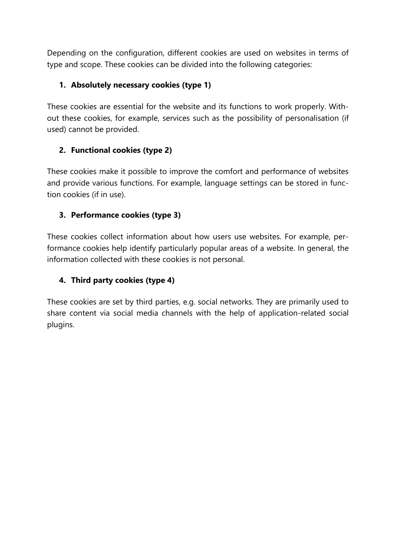Depending on the configuration, different cookies are used on websites in terms of type and scope. These cookies can be divided into the following categories:

### **1. Absolutely necessary cookies (type 1)**

These cookies are essential for the website and its functions to work properly. Without these cookies, for example, services such as the possibility of personalisation (if used) cannot be provided.

# **2. Functional cookies (type 2)**

These cookies make it possible to improve the comfort and performance of websites and provide various functions. For example, language settings can be stored in function cookies (if in use).

### **3. Performance cookies (type 3)**

These cookies collect information about how users use websites. For example, performance cookies help identify particularly popular areas of a website. In general, the information collected with these cookies is not personal.

# **4. Third party cookies (type 4)**

These cookies are set by third parties, e.g. social networks. They are primarily used to share content via social media channels with the help of application-related social plugins.